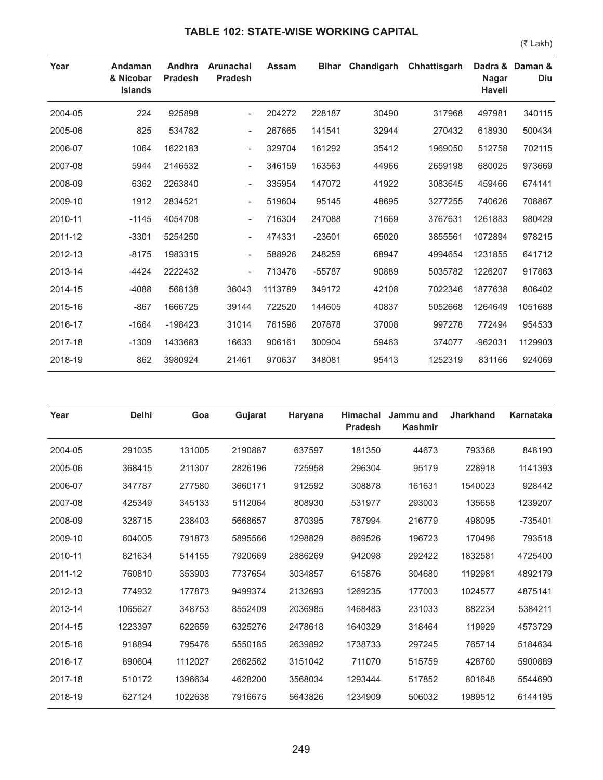## **TABLE 102: STATE-WISE WORKING CAPITAL**

(₹ Lakh)

| Year    | Andaman<br>& Nicobar<br><b>Islands</b> | Andhra<br><b>Pradesh</b> | <b>Arunachal</b><br><b>Pradesh</b> | <b>Assam</b> | <b>Bihar</b> | Chandigarh | Chhattisgarh | Dadra &<br><b>Nagar</b><br><b>Haveli</b> | Daman &<br>Diu |
|---------|----------------------------------------|--------------------------|------------------------------------|--------------|--------------|------------|--------------|------------------------------------------|----------------|
| 2004-05 | 224                                    | 925898                   | $\overline{\phantom{0}}$           | 204272       | 228187       | 30490      | 317968       | 497981                                   | 340115         |
| 2005-06 | 825                                    | 534782                   | $\overline{\phantom{a}}$           | 267665       | 141541       | 32944      | 270432       | 618930                                   | 500434         |
| 2006-07 | 1064                                   | 1622183                  | $\overline{\phantom{a}}$           | 329704       | 161292       | 35412      | 1969050      | 512758                                   | 702115         |
| 2007-08 | 5944                                   | 2146532                  | $\overline{\phantom{a}}$           | 346159       | 163563       | 44966      | 2659198      | 680025                                   | 973669         |
| 2008-09 | 6362                                   | 2263840                  | $\overline{\phantom{a}}$           | 335954       | 147072       | 41922      | 3083645      | 459466                                   | 674141         |
| 2009-10 | 1912                                   | 2834521                  | $\overline{\phantom{a}}$           | 519604       | 95145        | 48695      | 3277255      | 740626                                   | 708867         |
| 2010-11 | $-1145$                                | 4054708                  | $\overline{\phantom{a}}$           | 716304       | 247088       | 71669      | 3767631      | 1261883                                  | 980429         |
| 2011-12 | $-3301$                                | 5254250                  |                                    | 474331       | $-23601$     | 65020      | 3855561      | 1072894                                  | 978215         |
| 2012-13 | $-8175$                                | 1983315                  | $\overline{\phantom{a}}$           | 588926       | 248259       | 68947      | 4994654      | 1231855                                  | 641712         |
| 2013-14 | $-4424$                                | 2222432                  | $\overline{\phantom{a}}$           | 713478       | -55787       | 90889      | 5035782      | 1226207                                  | 917863         |
| 2014-15 | $-4088$                                | 568138                   | 36043                              | 1113789      | 349172       | 42108      | 7022346      | 1877638                                  | 806402         |
| 2015-16 | $-867$                                 | 1666725                  | 39144                              | 722520       | 144605       | 40837      | 5052668      | 1264649                                  | 1051688        |
| 2016-17 | $-1664$                                | $-198423$                | 31014                              | 761596       | 207878       | 37008      | 997278       | 772494                                   | 954533         |
| 2017-18 | $-1309$                                | 1433683                  | 16633                              | 906161       | 300904       | 59463      | 374077       | $-962031$                                | 1129903        |
| 2018-19 | 862                                    | 3980924                  | 21461                              | 970637       | 348081       | 95413      | 1252319      | 831166                                   | 924069         |

| Year    | <b>Delhi</b> | Goa     | Gujarat | Haryana | <b>Himachal</b><br><b>Pradesh</b> | Jammu and<br><b>Kashmir</b> | <b>Jharkhand</b> | Karnataka |
|---------|--------------|---------|---------|---------|-----------------------------------|-----------------------------|------------------|-----------|
| 2004-05 | 291035       | 131005  | 2190887 | 637597  | 181350                            | 44673                       | 793368           | 848190    |
| 2005-06 | 368415       | 211307  | 2826196 | 725958  | 296304                            | 95179                       | 228918           | 1141393   |
| 2006-07 | 347787       | 277580  | 3660171 | 912592  | 308878                            | 161631                      | 1540023          | 928442    |
| 2007-08 | 425349       | 345133  | 5112064 | 808930  | 531977                            | 293003                      | 135658           | 1239207   |
| 2008-09 | 328715       | 238403  | 5668657 | 870395  | 787994                            | 216779                      | 498095           | $-735401$ |
| 2009-10 | 604005       | 791873  | 5895566 | 1298829 | 869526                            | 196723                      | 170496           | 793518    |
| 2010-11 | 821634       | 514155  | 7920669 | 2886269 | 942098                            | 292422                      | 1832581          | 4725400   |
| 2011-12 | 760810       | 353903  | 7737654 | 3034857 | 615876                            | 304680                      | 1192981          | 4892179   |
| 2012-13 | 774932       | 177873  | 9499374 | 2132693 | 1269235                           | 177003                      | 1024577          | 4875141   |
| 2013-14 | 1065627      | 348753  | 8552409 | 2036985 | 1468483                           | 231033                      | 882234           | 5384211   |
| 2014-15 | 1223397      | 622659  | 6325276 | 2478618 | 1640329                           | 318464                      | 119929           | 4573729   |
| 2015-16 | 918894       | 795476  | 5550185 | 2639892 | 1738733                           | 297245                      | 765714           | 5184634   |
| 2016-17 | 890604       | 1112027 | 2662562 | 3151042 | 711070                            | 515759                      | 428760           | 5900889   |
| 2017-18 | 510172       | 1396634 | 4628200 | 3568034 | 1293444                           | 517852                      | 801648           | 5544690   |
| 2018-19 | 627124       | 1022638 | 7916675 | 5643826 | 1234909                           | 506032                      | 1989512          | 6144195   |